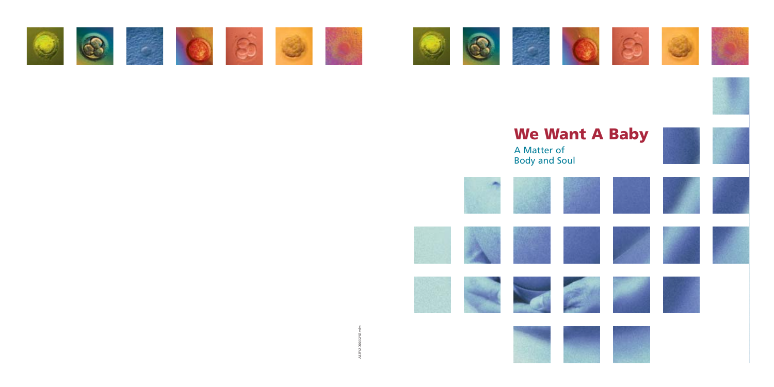



















# **We Want A Baby**

A Matter of Body and Soul





433F(2.000)02/03,vdm A33F(2.000)02/03,vdm























































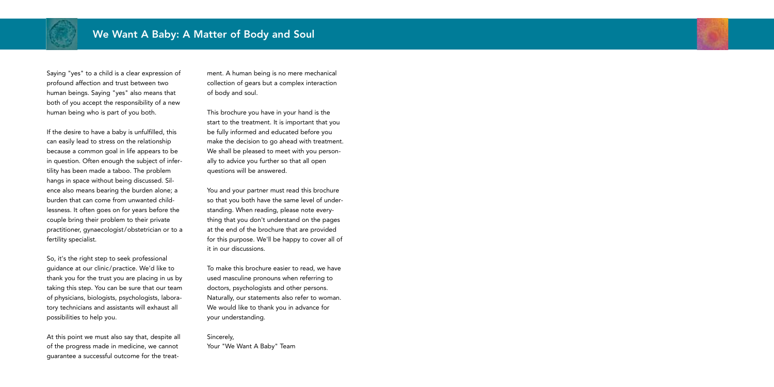

Saying "yes" to a child is a clear expression of profound affection and trust between two human beings. Saying "yes" also means that both of you accept the responsibility of a new human being who is part of you both.

If the desire to have a baby is unfulfilled, this can easily lead to stress on the relationship because a common goal in life appears to be in question. Often enough the subject of infertility has been made a taboo. The problem hangs in space without being discussed. Silence also means bearing the burden alone; a burden that can come from unwanted childlessness. It often goes on for years before the couple bring their problem to their private practitioner, gynaecologist/obstetrician or to a fertility specialist.

So, it's the right step to seek professional guidance at our clinic/practice. We'd like to thank you for the trust you are placing in us by taking this step. You can be sure that our team of physicians, biologists, psychologists, laboratory technicians and assistants will exhaust all possibilities to help you.

At this point we must also say that, despite all of the progress made in medicine, we cannot guarantee a successful outcome for the treatment. A human being is no mere mechanical collection of gears but a complex interaction of body and soul.

This brochure you have in your hand is the start to the treatment. It is important that you be fully informed and educated before you make the decision to go ahead with treatment. We shall be pleased to meet with you personally to advice you further so that all open questions will be answered.

You and your partner must read this brochure so that you both have the same level of understanding. When reading, please note everything that you don't understand on the pages at the end of the brochure that are provided for this purpose. We'll be happy to cover all of it in our discussions.

To make this brochure easier to read, we have used masculine pronouns when referring to doctors, psychologists and other persons. Naturally, our statements also refer to woman. We would like to thank you in advance for your understanding.

Sincerely, Your "We Want A Baby" Team

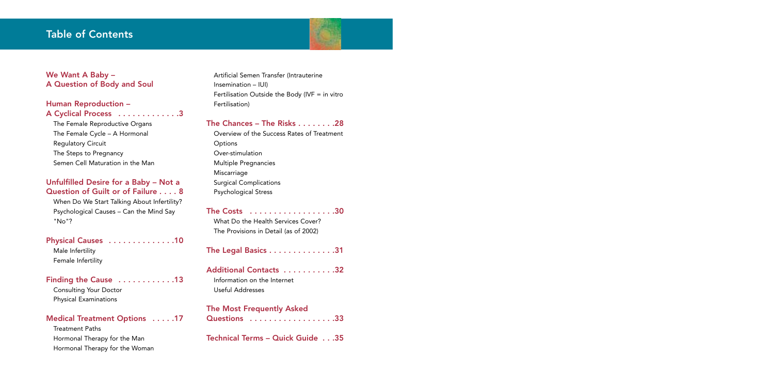## Table of Contents



### Human Reproduction – A Cyclical Process . . . . . . . . . . . . . 3

### We Want A Baby – A Question of Body and Soul

The Female Reproductive Organs The Female Cycle – A Hormonal Regulatory Circuit The Steps to Pregnancy Semen Cell Maturation in the Man

### Unfulfilled Desire for a Baby – Not a Question of Guilt or of Failure . . . . 8

When Do We Start Talking About Infertility? Psychological Causes – Can the Mind Say "No"?

### Physical Causes . . . . . . . . . . . . . . 10

Male Infertility Female Infertility

### Finding the Cause . . . . . . . . . . . . . 13

Consulting Your Doctor Physical Examinations

### Medical Treatment Options . . . . .17

Treatment Paths Hormonal Therapy for the Man Hormonal Therapy for the Woman Artificial Semen Transfer (Intrauterine Insemination – IUI) Fertilisation Outside the Body (IVF  $=$  in vitro Fertilisation)

### The Chances – The Risks . . . . . . . .28

Overview of the Success Rates of Treatment **Options** Over-stimulation Multiple Pregnancies Miscarriage Surgical Complications Psychological Stress

The Costs . . . . . . . . . . . . . . . . . .30

What Do the Health Services Cover? The Provisions in Detail (as of 2002)

The Legal Basics . . . . . . . . . . . . . . 31

Additional Contacts . . . . . . . . . . .32 Information on the Internet Useful Addresses

### The Most Frequently Asked

Questions . . . . . . . . . . . . . . . . . . 33

Technical Terms – Quick Guide . . .35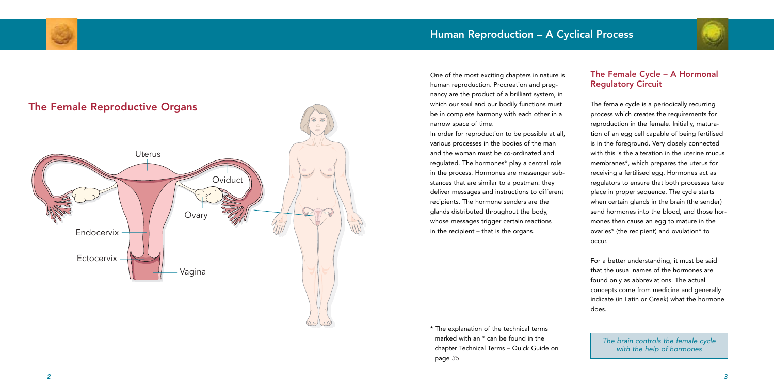



One of the most exciting chapters in nature is human reproduction. Procreation and pregnancy are the product of a brilliant system, in which our soul and our bodily functions must be in complete harmony with each other in a narrow space of time.

In order for reproduction to be possible at all, various processes in the bodies of the man and the woman must be co-ordinated and regulated. The hormones\* play a central role in the process. Hormones are messenger substances that are similar to a postman: they deliver messages and instructions to different recipients. The hormone senders are the glands distributed throughout the body, whose messages trigger certain reactions in the recipient – that is the organs.

\* The explanation of the technical terms marked with an \* can be found in the chapter Technical Terms – Quick Guide on page *35.*

### The Female Cycle – A Hormonal Regulatory Circuit

The female cycle is a periodically recurring process which creates the requirements for reproduction in the female. Initially, maturation of an egg cell capable of being fertilised is in the foreground. Very closely connected with this is the alteration in the uterine mucus membranes\*, which prepares the uterus for receiving a fertilised egg. Hormones act as regulators to ensure that both processes take place in proper sequence. The cycle starts when certain glands in the brain (the sender) send hormones into the blood, and those hormones then cause an egg to mature in the ovaries\* (the recipient) and ovulation\* to occur.

For a better understanding, it must be said that the usual names of the hormones are found only as abbreviations. The actual concepts come from medicine and generally indicate (in Latin or Greek) what the hormone does.

*The brain controls the female cycle with the help of hormones*

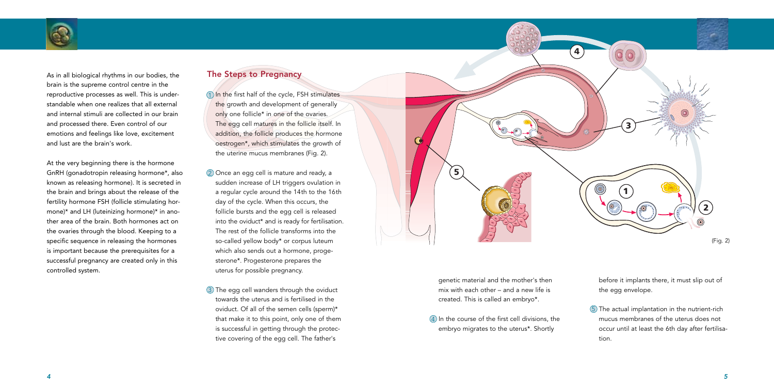

As in all biological rhythms in our bodies, the brain is the supreme control centre in the reproductive processes as well. This is understandable when one realizes that all external and internal stimuli are collected in our brain and processed there. Even control of our emotions and feelings like love, excitement and lust are the brain's work.

 $\mathbb{1}$  In the first half of the cycle, FSH stimulates the growth and development of generally only one follicle\* in one of the ovaries. The egg cell matures in the follicle itself. In addition, the follicle produces the hormone oestrogen\*, which stimulates the growth of the uterine mucus membranes (Fig. 2).

At the very beginning there is the hormone GnRH (gonadotropin releasing hormone\*, also known as releasing hormone). It is secreted in the brain and brings about the release of the fertility hormone FSH (follicle stimulating hormone)\* and LH (luteinizing hormone)\* in another area of the brain. Both hormones act on the ovaries through the blood. Keeping to a specific sequence in releasing the hormones is important because the prerequisites for a successful pregnancy are created only in this controlled system.

### The Steps to Pregnancy

 $\overline{4}$ ) In the course of the first cell divisions, the embryo migrates to the uterus\*. Shortly

 $5)$  The actual implantation in the nutrient-rich mucus membranes of the uterus does not occur until at least the 6th day after fertilisation.

- Once an egg cell is mature and ready, a 2 sudden increase of LH triggers ovulation in a regular cycle around the 14th to the 16th day of the cycle. When this occurs, the follicle bursts and the egg cell is released into the oviduct\* and is ready for fertilisation. The rest of the follicle transforms into the so-called yellow body\* or corpus luteum which also sends out a hormone, progesterone\*. Progesterone prepares the uterus for possible pregnancy.
- $\mathsf{\overline{3}}$  The egg cell wanders through the oviduct towards the uterus and is fertilised in the oviduct. Of all of the semen cells (sperm)\* that make it to this point, only one of them is successful in getting through the protective covering of the egg cell. The father's



**5**

 $\mathbf G$ 

genetic material and the mother's then mix with each other – and a new life is created. This is called an embryo\*.

before it implants there, it must slip out of the egg envelope.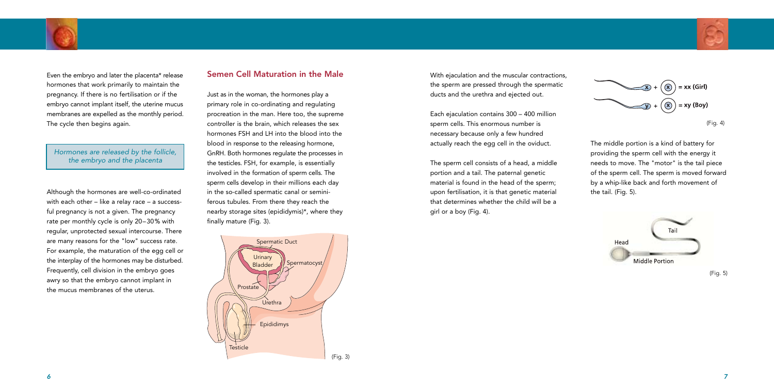The middle portion is a kind of battery for providing the sperm cell with the energy it needs to move. The "motor" is the tail piece of the sperm cell. The sperm is moved forward by a whip-like back and forth movement of the tail. (Fig. 5).

### Semen Cell Maturation in the Male

Just as in the woman, the hormones play a primary role in co-ordinating and regulating procreation in the man. Here too, the supreme controller is the brain, which releases the sex hormones FSH and LH into the blood into the blood in response to the releasing hormone, GnRH. Both hormones regulate the processes in the testicles. FSH, for example, is essentially involved in the formation of sperm cells. The sperm cells develop in their millions each day in the so-called spermatic canal or seminiferous tubules. From there they reach the nearby storage sites (epididymis)\*, where they finally mature (Fig. 3).

With ejaculation and the muscular contractions, the sperm are pressed through the spermatic ducts and the urethra and ejected out.

Each ejaculation contains 300 – 400 million sperm cells. This enormous number is necessary because only a few hundred actually reach the egg cell in the oviduct.

The sperm cell consists of a head, a middle portion and a tail. The paternal genetic material is found in the head of the sperm; upon fertilisation, it is that genetic material that determines whether the child will be a girl or a boy (Fig. 4).







(Fig. 5)



Even the embryo and later the placenta\* release hormones that work primarily to maintain the pregnancy. If there is no fertilisation or if the embryo cannot implant itself, the uterine mucus membranes are expelled as the monthly period. The cycle then begins again.

Although the hormones are well-co-ordinated with each other – like a relay race – a successful pregnancy is not a given. The pregnancy rate per monthly cycle is only 20–30% with regular, unprotected sexual intercourse. There are many reasons for the "low" success rate. For example, the maturation of the egg cell or the interplay of the hormones may be disturbed. Frequently, cell division in the embryo goes awry so that the embryo cannot implant in the mucus membranes of the uterus.

### *Hormones are released by the follicle, the embryo and the placenta*

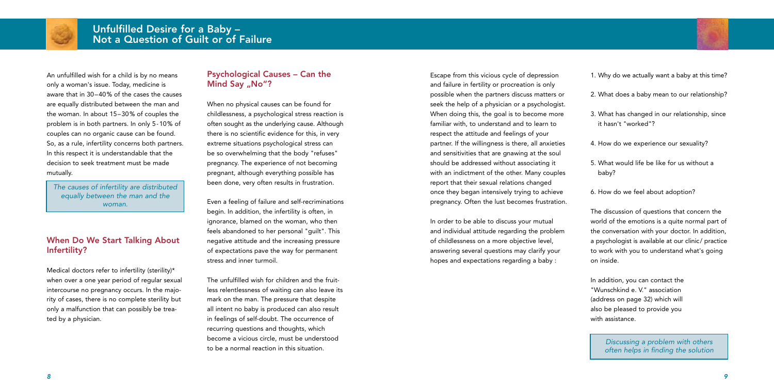

Escape from this vicious cycle of depression and failure in fertility or procreation is only possible when the partners discuss matters or seek the help of a physician or a psychologist. When doing this, the goal is to become more familiar with, to understand and to learn to respect the attitude and feelings of your partner. If the willingness is there, all anxieties and sensitivities that are gnawing at the soul should be addressed without associating it with an indictment of the other. Many couples report that their sexual relations changed once they began intensively trying to achieve pregnancy. Often the lust becomes frustration.

In order to be able to discuss your mutual and individual attitude regarding the problem of childlessness on a more objective level, answering several questions may clarify your hopes and expectations regarding a baby :

- 1. Why do we actually want a baby at this time?
- 2. What does a baby mean to our relationship?
- 3. What has changed in our relationship, since it hasn't "worked"?
- 4. How do we experience our sexuality?
- 5. What would life be like for us without a baby?
- 6. How do we feel about adoption?

### Psychological Causes – Can the Mind Say "No"?

The discussion of questions that concern the world of the emotions is a quite normal part of the conversation with your doctor. In addition, a psychologist is available at our clinic/ practice to work with you to understand what's going on inside.

In addition, you can contact the "Wunschkind e. V." association (address on page 32) which will also be pleased to provide you with assistance.



An unfulfilled wish for a child is by no means only a woman's issue. Today, medicine is aware that in 30–40% of the cases the causes are equally distributed between the man and the woman. In about 15–30% of couples the problem is in both partners. In only 5-10% of couples can no organic cause can be found. So, as a rule, infertility concerns both partners. In this respect it is understandable that the decision to seek treatment must be made mutually.

### When Do We Start Talking About Infertility?

Medical doctors refer to infertility (sterility)\* when over a one year period of regular sexual intercourse no pregnancy occurs. In the majority of cases, there is no complete sterility but only a malfunction that can possibly be treated by a physician.

When no physical causes can be found for childlessness, a psychological stress reaction is often sought as the underlying cause. Although there is no scientific evidence for this, in very extreme situations psychological stress can be so overwhelming that the body "refuses" pregnancy. The experience of not becoming pregnant, although everything possible has been done, very often results in frustration.

Even a feeling of failure and self-recriminations begin. In addition, the infertility is often, in ignorance, blamed on the woman, who then feels abandoned to her personal "guilt". This negative attitude and the increasing pressure of expectations pave the way for permanent stress and inner turmoil.

The unfulfilled wish for children and the fruitless relentlessness of waiting can also leave its mark on the man. The pressure that despite all intent no baby is produced can also result in feelings of self-doubt. The occurrence of recurring questions and thoughts, which become a vicious circle, must be understood to be a normal reaction in this situation.

*The causes of infertility are distributed equally between the man and the woman.*

> *Discussing a problem with others often helps in finding the solution*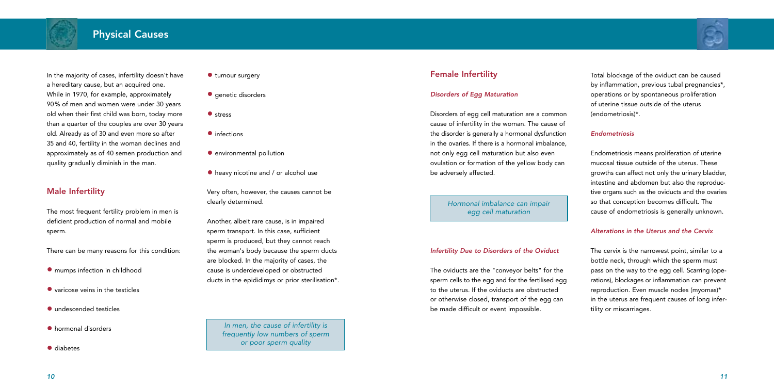In the majority of cases, infertility doesn't have a hereditary cause, but an acquired one. While in 1970, for example, approximately 90% of men and women were under 30 years old when their first child was born, today more than a quarter of the couples are over 30 years old. Already as of 30 and even more so after 35 and 40, fertility in the woman declines and approximately as of 40 semen production and quality gradually diminish in the man.

- $\bullet$  mumps infection in childhood
- varicose veins in the testicles
- undescended testicles
- hormonal disorders

### Male Infertility

The most frequent fertility problem in men is deficient production of normal and mobile sperm.

There can be many reasons for this condition:

• diabetes

- **•** tumour surgery
- **•** genetic disorders
- **•** stress
- infections
- **•** environmental pollution
- $\bullet$  heavy nicotine and / or alcohol use

Very often, however, the causes cannot be clearly determined.

Another, albeit rare cause, is in impaired sperm transport. In this case, sufficient sperm is produced, but they cannot reach the woman's body because the sperm ducts are blocked. In the majority of cases, the cause is underdeveloped or obstructed ducts in the epididimys or prior sterilisation\*.





*In men, the cause of infertility is frequently low numbers of sperm or poor sperm quality*

### Female Infertility

### *Disorders of Egg Maturation*

Disorders of egg cell maturation are a common cause of infertility in the woman. The cause of the disorder is generally a hormonal dysfunction in the ovaries. If there is a hormonal imbalance, not only egg cell maturation but also even ovulation or formation of the yellow body can be adversely affected.

### *Infertility Due to Disorders of the Oviduct*

The oviducts are the "conveyor belts" for the sperm cells to the egg and for the fertilised egg to the uterus. If the oviducts are obstructed or otherwise closed, transport of the egg can be made difficult or event impossible.

Total blockage of the oviduct can be caused by inflammation, previous tubal pregnancies\*, operations or by spontaneous proliferation of uterine tissue outside of the uterus (endometriosis)\*.

### *Endometriosis*

Endometriosis means proliferation of uterine mucosal tissue outside of the uterus. These growths can affect not only the urinary bladder, intestine and abdomen but also the reproductive organs such as the oviducts and the ovaries so that conception becomes difficult. The cause of endometriosis is generally unknown.

### *Alterations in the Uterus and the Cervix*

The cervix is the narrowest point, similar to a bottle neck, through which the sperm must pass on the way to the egg cell. Scarring (operations), blockages or inflammation can prevent reproduction. Even muscle nodes (myomas)\* in the uterus are frequent causes of long infertility or miscarriages.

*Hormonal imbalance can impair egg cell maturation*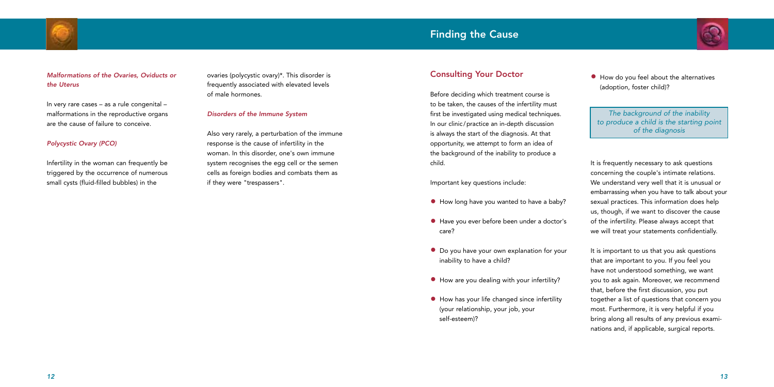### *Malformations of the Ovaries, Oviducts or the Uterus*

In very rare cases – as a rule congenital – malformations in the reproductive organs are the cause of failure to conceive.

### *Polycystic Ovary (PCO)*

Infertility in the woman can frequently be triggered by the occurrence of numerous small cysts (fluid-filled bubbles) in the





### Consulting Your Doctor

Before deciding which treatment course is to be taken, the causes of the infertility must first be investigated using medical techniques. In our clinic/practice an in-depth discussion is always the start of the diagnosis. At that opportunity, we attempt to form an idea of the background of the inability to produce a child.

Important key questions include:

- How long have you wanted to have a baby?
- Have you ever before been under a doctor's care?
- Do you have your own explanation for your inability to have a child?
- How are you dealing with your infertility?
- How has your life changed since infertility (your relationship, your job, your self-esteem)?

• How do you feel about the alternatives (adoption, foster child)?

It is frequently necessary to ask questions concerning the couple's intimate relations. We understand very well that it is unusual or embarrassing when you have to talk about your sexual practices. This information does help us, though, if we want to discover the cause of the infertility. Please always accept that we will treat your statements confidentially.

It is important to us that you ask questions that are important to you. If you feel you have not understood something, we want you to ask again. Moreover, we recommend that, before the first discussion, you put together a list of questions that concern you most. Furthermore, it is very helpful if you bring along all results of any previous examinations and, if applicable, surgical reports.



*The background of the inability to produce a child is the starting point of the diagnosis*

ovaries (polycystic ovary)\*. This disorder is frequently associated with elevated levels of male hormones.

### *Disorders of the Immune System*

Also very rarely, a perturbation of the immune response is the cause of infertility in the woman. In this disorder, one's own immune system recognises the egg cell or the semen cells as foreign bodies and combats them as if they were "trespassers".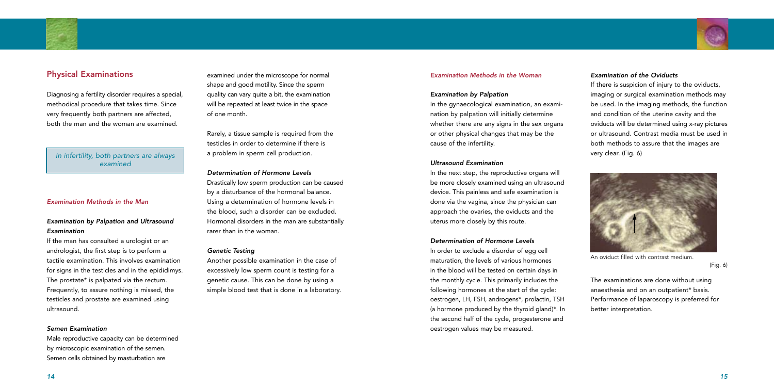### *Examination of the Oviducts*

If there is suspicion of injury to the oviducts, imaging or surgical examination methods may be used. In the imaging methods, the function and condition of the uterine cavity and the oviducts will be determined using x-ray pictures or ultrasound. Contrast media must be used in both methods to assure that the images are very clear. (Fig. 6)

The examinations are done without using anaesthesia and on an outpatient\* basis. Performance of laparoscopy is preferred for better interpretation.



An oviduct filled with contrast medium.

(Fig. 6)



### Physical Examinations

Diagnosing a fertility disorder requires a special, methodical procedure that takes time. Since very frequently both partners are affected, both the man and the woman are examined.

#### *Examination Methods in the Man*

### *Examination by Palpation and Ultrasound Examination*

If the man has consulted a urologist or an andrologist, the first step is to perform a tactile examination. This involves examination for signs in the testicles and in the epididimys. The prostate\* is palpated via the rectum. Frequently, to assure nothing is missed, the testicles and prostate are examined using ultrasound.

#### *Semen Examination*

Male reproductive capacity can be determined by microscopic examination of the semen. Semen cells obtained by masturbation are



#### *Examination Methods in the Woman*

#### *Examination by Palpation*

In the gynaecological examination, an examination by palpation will initially determine whether there are any signs in the sex organs or other physical changes that may be the cause of the infertility.

#### *Ultrasound Examination*

In the next step, the reproductive organs will be more closely examined using an ultrasound device. This painless and safe examination is done via the vagina, since the physician can approach the ovaries, the oviducts and the uterus more closely by this route.

#### *Determination of Hormone Levels*

In order to exclude a disorder of egg cell maturation, the levels of various hormones in the blood will be tested on certain days in the monthly cycle. This primarily includes the following hormones at the start of the cycle: oestrogen, LH, FSH, androgens\*, prolactin, TSH (a hormone produced by the thyroid gland)\*. In the second half of the cycle, progesterone and oestrogen values may be measured.

examined under the microscope for normal shape and good motility. Since the sperm quality can vary quite a bit, the examination will be repeated at least twice in the space of one month.

Rarely, a tissue sample is required from the testicles in order to determine if there is a problem in sperm cell production.

#### *Determination of Hormone Levels*

Drastically low sperm production can be caused by a disturbance of the hormonal balance. Using a determination of hormone levels in the blood, such a disorder can be excluded. Hormonal disorders in the man are substantially rarer than in the woman.

#### *Genetic Testing*

Another possible examination in the case of excessively low sperm count is testing for a genetic cause. This can be done by using a simple blood test that is done in a laboratory.

### *In infertility, both partners are always examined*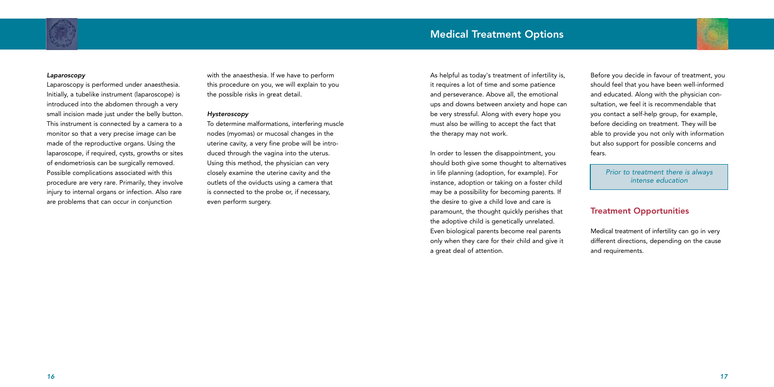



#### *Laparoscopy*

Laparoscopy is performed under anaesthesia. Initially, a tubelike instrument (laparoscope) is introduced into the abdomen through a very small incision made just under the belly button. This instrument is connected by a camera to a monitor so that a very precise image can be made of the reproductive organs. Using the laparoscope, if required, cysts, growths or sites of endometriosis can be surgically removed. Possible complications associated with this procedure are very rare. Primarily, they involve injury to internal organs or infection. Also rare are problems that can occur in conjunction

with the anaesthesia. If we have to perform this procedure on you, we will explain to you the possible risks in great detail.

#### *Hysteroscopy*

To determine malformations, interfering muscle nodes (myomas) or mucosal changes in the uterine cavity, a very fine probe will be introduced through the vagina into the uterus. Using this method, the physician can very closely examine the uterine cavity and the outlets of the oviducts using a camera that is connected to the probe or, if necessary, even perform surgery.

As helpful as today's treatment of infertility is, it requires a lot of time and some patience and perseverance. Above all, the emotional ups and downs between anxiety and hope can be very stressful. Along with every hope you must also be willing to accept the fact that the therapy may not work.

In order to lessen the disappointment, you should both give some thought to alternatives in life planning (adoption, for example). For instance, adoption or taking on a foster child may be a possibility for becoming parents. If the desire to give a child love and care is paramount, the thought quickly perishes that the adoptive child is genetically unrelated. Even biological parents become real parents only when they care for their child and give it a great deal of attention.

Before you decide in favour of treatment, you should feel that you have been well-informed and educated. Along with the physician consultation, we feel it is recommendable that you contact a self-help group, for example, before deciding on treatment. They will be able to provide you not only with information but also support for possible concerns and fears.

### Treatment Opportunities

Medical treatment of infertility can go in very different directions, depending on the cause and requirements.

### *Prior to treatment there is always intense education*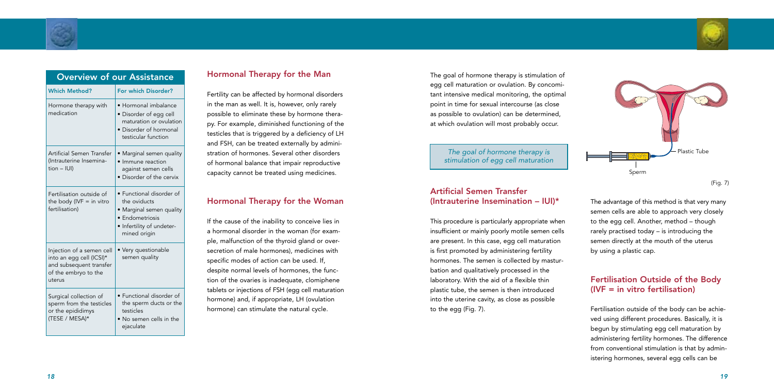The goal of hormone therapy is stimulation of egg cell maturation or ovulation. By concomitant intensive medical monitoring, the optimal point in time for sexual intercourse (as close as possible to ovulation) can be determined, at which ovulation will most probably occur.

### Artificial Semen Transfer (Intrauterine Insemination –  $|U|$ )\*

This procedure is particularly appropriate when insufficient or mainly poorly motile semen cells are present. In this case, egg cell maturation is first promoted by administering fertility hormones. The semen is collected by masturbation and qualitatively processed in the laboratory. With the aid of a flexible thin plastic tube, the semen is then introduced into the uterine cavity, as close as possible to the egg (Fig. 7).

The advantage of this method is that very many semen cells are able to approach very closely to the egg cell. Another, method – though rarely practised today – is introducing the semen directly at the mouth of the uterus by using a plastic cap.

### Fertilisation Outside of the Body (IVF = in vitro fertilisation)

Fertilisation outside of the body can be achieved using different procedures. Basically, it is begun by stimulating egg cell maturation by administering fertility hormones. The difference from conventional stimulation is that by administering hormones, several egg cells can be

*The goal of hormone therapy is stimulation of egg cell maturation*



(Fig. 7)

### Hormonal Therapy for the Man

Fertility can be affected by hormonal disorders in the man as well. It is, however, only rarely possible to eliminate these by hormone therapy. For example, diminished functioning of the testicles that is triggered by a deficiency of LH and FSH, can be treated externally by administration of hormones. Several other disorders of hormonal balance that impair reproductive capacity cannot be treated using medicines.

### Hormonal Therapy for the Woman

If the cause of the inability to conceive lies in a hormonal disorder in the woman (for example, malfunction of the thyroid gland or oversecretion of male hormones), medicines with specific modes of action can be used. If, despite normal levels of hormones, the function of the ovaries is inadequate, clomiphene tablets or injections of FSH (egg cell maturation hormone) and, if appropriate, LH (ovulation hormone) can stimulate the natural cycle.



| <b>Overview of our Assistance</b>                                                                                  |                                                                                                                                    |  |
|--------------------------------------------------------------------------------------------------------------------|------------------------------------------------------------------------------------------------------------------------------------|--|
| <b>Which Method?</b>                                                                                               | For which Disorder?                                                                                                                |  |
| Hormone therapy with<br>medication                                                                                 | • Hormonal imbalance<br>· Disorder of egg cell<br>maturation or ovulation<br>Disorder of hormonal<br>testicular function           |  |
| Artificial Semen Transfer<br>(Intrauterine Insemina-<br>$tion - IUI)$                                              | Marginal semen quality<br>· Immune reaction<br>against semen cells<br>· Disorder of the cervix                                     |  |
| Fertilisation outside of<br>the body (IVF $=$ in vitro<br>fertilisation)                                           | · Functional disorder of<br>the oviducts<br>• Marginal semen quality<br>· Endometriosis<br>Infertility of undeter-<br>mined origin |  |
| Injection of a semen cell<br>into an egg cell (ICSI)*<br>and subsequent transfer<br>of the embryo to the<br>uterus | Very questionable<br>semen quality                                                                                                 |  |
| Surgical collection of<br>sperm from the testicles<br>or the epididimys<br>(TESE / MESA)*                          | Functional disorder of<br>the sperm ducts or the<br>testicles<br>No semen cells in the<br>ejaculate                                |  |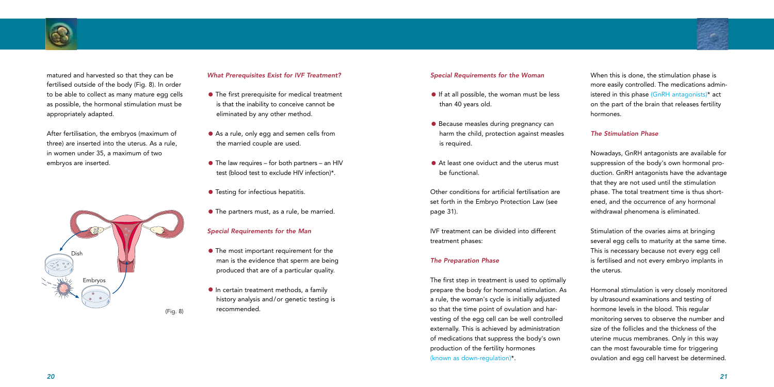

matured and harvested so that they can be fertilised outside of the body (Fig. 8). In order to be able to collect as many mature egg cells as possible, the hormonal stimulation must be appropriately adapted.

- The first prerequisite for medical treatment is that the inability to conceive cannot be eliminated by any other method.
- As a rule, only egg and semen cells from the married couple are used.
- The law requires for both partners an HIV test (blood test to exclude HIV infection)\*.
- **•** Testing for infectious hepatitis.
- The partners must, as a rule, be married.

After fertilisation, the embryos (maximum of three) are inserted into the uterus. As a rule, in women under 35, a maximum of two embryos are inserted.

#### *What Prerequisites Exist for IVF Treatment?*

- The most important requirement for the man is the evidence that sperm are being produced that are of a particular quality.
- **•** In certain treatment methods, a family history analysis and/or genetic testing is recommended.

### *Special Requirements for the Man*

When this is done, the stimulation phase is more easily controlled. The medications administered in this phase (GnRH antagonists)\* act on the part of the brain that releases fertility hormones.

- **•** If at all possible, the woman must be less than 40 years old.
- **•** Because measles during pregnancy can harm the child, protection against measles is required.
- At least one oviduct and the uterus must be functional.

### *The Stimulation Phase*

Nowadays, GnRH antagonists are available for suppression of the body's own hormonal production. GnRH antagonists have the advantage that they are not used until the stimulation phase. The total treatment time is thus shortened, and the occurrence of any hormonal withdrawal phenomena is eliminated.

Stimulation of the ovaries aims at bringing several egg cells to maturity at the same time. This is necessary because not every egg cell is fertilised and not every embryo implants in the uterus.

Hormonal stimulation is very closely monitored by ultrasound examinations and testing of hormone levels in the blood. This regular monitoring serves to observe the number and size of the follicles and the thickness of the uterine mucus membranes. Only in this way can the most favourable time for triggering ovulation and egg cell harvest be determined.

#### *Special Requirements for the Woman*

Other conditions for artificial fertilisation are set forth in the Embryo Protection Law (see page 31).

IVF treatment can be divided into different treatment phases:

### *The Preparation Phase*

The first step in treatment is used to optimally prepare the body for hormonal stimulation. As a rule, the woman's cycle is initially adjusted so that the time point of ovulation and harvesting of the egg cell can be well controlled externally. This is achieved by administration of medications that suppress the body's own production of the fertility hormones (known as down-regulation)\*.

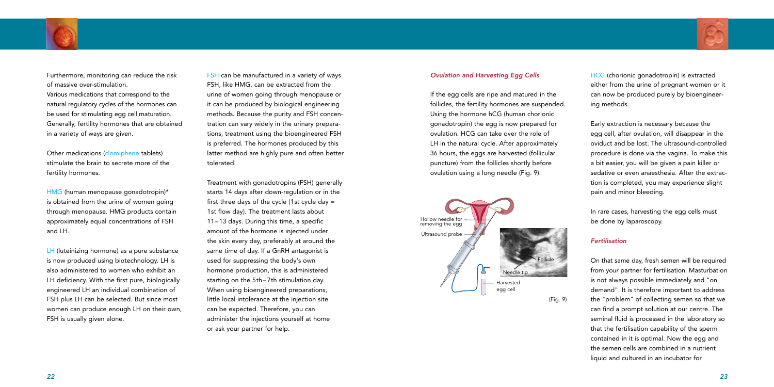### *Ovulation and Harvesting Egg Cells*

If the egg cells are ripe and matured in the follicles, the fertility hormones are suspended. Using the hormone hCG (human chorionic gonadotropin) the egg is now prepared for ovulation. HCG can take over the role of LH in the natural cycle. After approximately 36 hours, the eggs are harvested (follicular puncture) from the follicles shortly before ovulation using a long needle (Fig. 9).

HCG (chorionic gonadotropin) is extracted either from the urine of pregnant women or it can now be produced purely by bioengineering methods.

Early extraction is necessary because the egg cell, after ovulation, will disappear in the oviduct and be lost. The ultrasound-controlled procedure is done via the vagina. To make this a bit easier, you will be given a pain killer or sedative or even anaesthesia. After the extraction is completed, you may experience slight pain and minor bleeding.

In rare cases, harvesting the egg cells must be done by laparoscopy.

### *Fertilisation*

On that same day, fresh semen will be required from your partner for fertilisation. Masturbation is not always possible immediately and "on demand". It is therefore important to address the "problem" of collecting semen so that we can find a prompt solution at our centre. The seminal fluid is processed in the laboratory so that the fertilisation capability of the sperm contained in it is optimal. Now the egg and the semen cells are combined in a nutrient liquid and cultured in an incubator for



Furthermore, monitoring can reduce the risk of massive over-stimulation.

Various medications that correspond to the natural regulatory cycles of the hormones can be used for stimulating egg cell maturation. Generally, fertility hormones that are obtained in a variety of ways are given.

Other medications (clomiphene tablets) stimulate the brain to secrete more of the fertility hormones.

HMG (human menopause gonadotropin)\* is obtained from the urine of women going through menopause. HMG products contain approximately equal concentrations of FSH and LH.

LH (luteinizing hormone) as a pure substance is now produced using biotechnology. LH is also administered to women who exhibit an LH deficiency. With the first pure, biologically engineered LH an individual combination of FSH plus LH can be selected. But since most women can produce enough LH on their own, FSH is usually given alone.

FSH can be manufactured in a variety of ways. FSH, like HMG, can be extracted from the urine of women going through menopause or it can be produced by biological engineering methods. Because the purity and FSH concentration can vary widely in the urinary preparations, treatment using the bioengineered FSH is preferred. The hormones produced by this latter method are highly pure and often better tolerated.

Treatment with gonadotropins (FSH) generally starts 14 days after down-regulation or in the first three days of the cycle (1st cycle day = 1st flow day). The treatment lasts about 11–13 days. During this time, a specific amount of the hormone is injected under the skin every day, preferably at around the same time of day. If a GnRH antagonist is used for suppressing the body's own hormone production, this is administered starting on the 5th –7th stimulation day. When using bioengineered preparations, little local intolerance at the injection site can be expected. Therefore, you can administer the injections yourself at home or ask your partner for help.



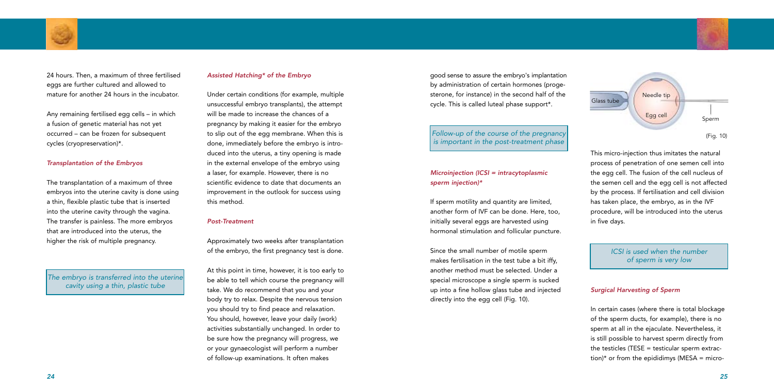good sense to assure the embryo's implantation by administration of certain hormones (progesterone, for instance) in the second half of the cycle. This is called luteal phase support\*.

### *Microinjection (ICSI = intracytoplasmic sperm injection)\**

If sperm motility and quantity are limited, another form of IVF can be done. Here, too, initially several eggs are harvested using hormonal stimulation and follicular puncture.

> In certain cases (where there is total blockage of the sperm ducts, for example), there is no sperm at all in the ejaculate. Nevertheless, it is still possible to harvest sperm directly from the testicles (TESE  $=$  testicular sperm extraction)\* or from the epididimys (MESA = micro-

Since the small number of motile sperm makes fertilisation in the test tube a bit iffy, another method must be selected. Under a special microscope a single sperm is sucked up into a fine hollow glass tube and injected directly into the egg cell (Fig. 10).

This micro-injection thus imitates the natural process of penetration of one semen cell into the egg cell. The fusion of the cell nucleus of the semen cell and the egg cell is not affected by the process. If fertilisation and cell division has taken place, the embryo, as in the IVF procedure, will be introduced into the uterus in five days.

### *Surgical Harvesting of Sperm*



24 hours. Then, a maximum of three fertilised eggs are further cultured and allowed to mature for another 24 hours in the incubator.

Any remaining fertilised egg cells – in which a fusion of genetic material has not yet occurred – can be frozen for subsequent cycles (cryopreservation)\*.

#### *Transplantation of the Embryos*

The transplantation of a maximum of three embryos into the uterine cavity is done using a thin, flexible plastic tube that is inserted into the uterine cavity through the vagina. The transfer is painless. The more embryos that are introduced into the uterus, the higher the risk of multiple pregnancy.

#### *Assisted Hatching\* of the Embryo*

Under certain conditions (for example, multiple unsuccessful embryo transplants), the attempt will be made to increase the chances of a pregnancy by making it easier for the embryo to slip out of the egg membrane. When this is done, immediately before the embryo is introduced into the uterus, a tiny opening is made in the external envelope of the embryo using a laser, for example. However, there is no scientific evidence to date that documents an improvement in the outlook for success using this method.

#### *Post-Treatment*

Approximately two weeks after transplantation of the embryo, the first pregnancy test is done.

At this point in time, however, it is too early to be able to tell which course the pregnancy will take. We do recommend that you and your body try to relax. Despite the nervous tension you should try to find peace and relaxation. You should, however, leave your daily (work) activities substantially unchanged. In order to be sure how the pregnancy will progress, we or your gynaecologist will perform a number of follow-up examinations. It often makes

*ICSI is used when the number of sperm is very low*



*The embryo is transferred into the uterine cavity using a thin, plastic tube*

### *Follow-up of the course of the pregnancy is important in the post-treatment phase*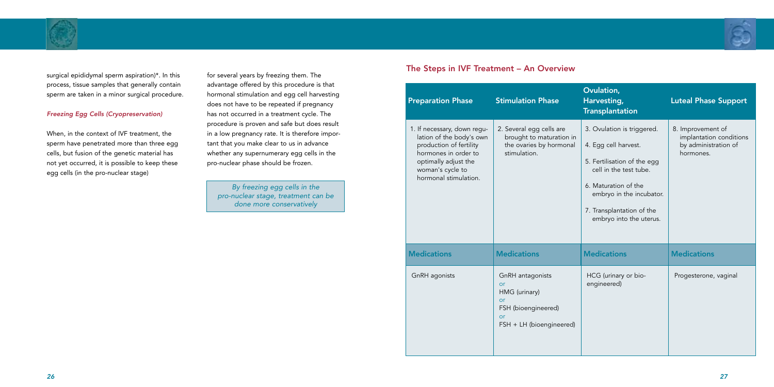



surgical epididymal sperm aspiration)\*. In this process, tissue samples that generally contain sperm are taken in a minor surgical procedure.

### *Freezing Egg Cells (Cryopreservation)*

When, in the context of IVF treatment, the sperm have penetrated more than three egg cells, but fusion of the genetic material has not yet occurred, it is possible to keep these egg cells (in the pro-nuclear stage)

for several years by freezing them. The advantage offered by this procedure is that hormonal stimulation and egg cell harvesting does not have to be repeated if pregnancy has not occurred in a treatment cycle. The procedure is proven and safe but does result in a low pregnancy rate. It is therefore important that you make clear to us in advance whether any supernumerary egg cells in the pro-nuclear phase should be frozen.

### The Steps in IVF Treatment – An Overview

| <b>Preparation Phase</b>                                                                                                                                                        | <b>Stimulation Phase</b>                                                                               | Ovulation,<br>Harvesting,<br><b>Transplantation</b>                                                                                                                                                                     | <b>Luteal Phase Support</b>                                                       |
|---------------------------------------------------------------------------------------------------------------------------------------------------------------------------------|--------------------------------------------------------------------------------------------------------|-------------------------------------------------------------------------------------------------------------------------------------------------------------------------------------------------------------------------|-----------------------------------------------------------------------------------|
| 1. If necessary, down regu-<br>lation of the body's own<br>production of fertility<br>hormones in order to<br>optimally adjust the<br>woman's cycle to<br>hormonal stimulation. | 2. Several egg cells are<br>brought to maturation in<br>the ovaries by hormonal<br>stimulation.        | 3. Ovulation is triggered.<br>4. Egg cell harvest.<br>5. Fertilisation of the egg<br>cell in the test tube.<br>6. Maturation of the<br>embryo in the incubator.<br>7. Transplantation of the<br>embryo into the uterus. | 8. Improvement of<br>implantation conditions<br>by administration of<br>hormones. |
| <b>Medications</b>                                                                                                                                                              | <b>Medications</b>                                                                                     | <b>Medications</b>                                                                                                                                                                                                      | <b>Medications</b>                                                                |
| GnRH agonists                                                                                                                                                                   | GnRH antagonists<br>or<br>HMG (urinary)<br>or<br>FSH (bioengineered)<br>or<br>FSH + LH (bioengineered) | HCG (urinary or bio-<br>engineered)                                                                                                                                                                                     | Progesterone, vaginal                                                             |

*By freezing egg cells in the pro-nuclear stage, treatment can be done more conservatively*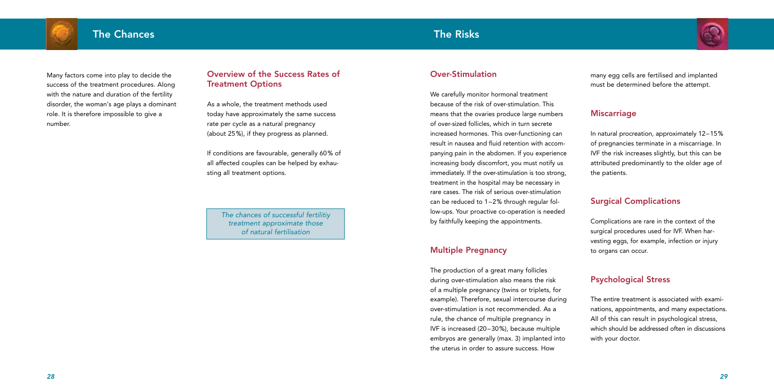

Many factors come into play to decide the success of the treatment procedures. Along with the nature and duration of the fertility disorder, the woman's age plays a dominant role. It is therefore impossible to give a number.

### Overview of the Success Rates of Treatment Options

As a whole, the treatment methods used today have approximately the same success rate per cycle as a natural pregnancy (about 25%), if they progress as planned.

If conditions are favourable, generally 60% of all affected couples can be helped by exhausting all treatment options.



### Over-Stimulation

We carefully monitor hormonal treatment because of the risk of over-stimulation. This means that the ovaries produce large numbers of over-sized follicles, which in turn secrete increased hormones. This over-functioning can result in nausea and fluid retention with accompanying pain in the abdomen. If you experience increasing body discomfort, you must notify us immediately. If the over-stimulation is too strong, treatment in the hospital may be necessary in rare cases. The risk of serious over-stimulation can be reduced to 1–2% through regular follow-ups. Your proactive co-operation is needed by faithfully keeping the appointments.

### Multiple Pregnancy

The production of a great many follicles during over-stimulation also means the risk of a multiple pregnancy (twins or triplets, for example). Therefore, sexual intercourse during over-stimulation is not recommended. As a rule, the chance of multiple pregnancy in IVF is increased (20–30%), because multiple embryos are generally (max. 3) implanted into the uterus in order to assure success. How

many egg cells are fertilised and implanted must be determined before the attempt.

### **Miscarriage**

In natural procreation, approximately 12–15% of pregnancies terminate in a miscarriage. In IVF the risk increases slightly, but this can be attributed predominantly to the older age of the patients.

## Surgical Complications

Complications are rare in the context of the surgical procedures used for IVF. When harvesting eggs, for example, infection or injury to organs can occur.

### Psychological Stress

The entire treatment is associated with examinations, appointments, and many expectations. All of this can result in psychological stress, which should be addressed often in discussions with your doctor.

*The chances of successful fertilitiy treatment approximate those of natural fertilisation*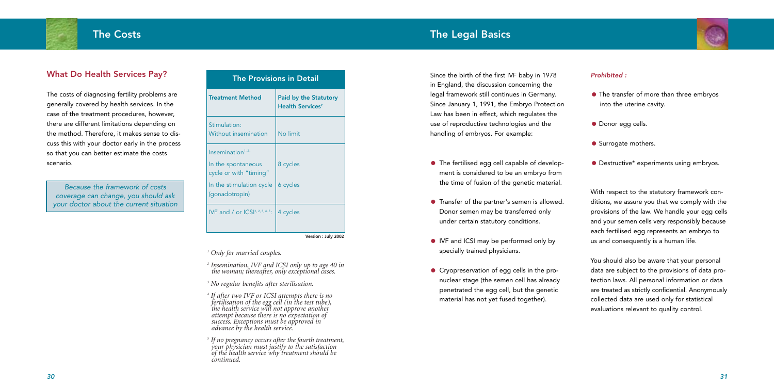

Since the birth of the first IVF baby in 1978 in England, the discussion concerning the legal framework still continues in Germany. Since January 1, 1991, the Embryo Protection Law has been in effect, which regulates the use of reproductive technologies and the handling of embryos. For example:

- The fertilised egg cell capable of development is considered to be an embryo from the time of fusion of the genetic material.
- Transfer of the partner's semen is allowed. Donor semen may be transferred only under certain statutory conditions.
- IVF and ICSI may be performed only by specially trained physicians.
- Cryopreservation of egg cells in the pronuclear stage (the semen cell has already penetrated the egg cell, but the genetic material has not yet fused together).



- The transfer of more than three embryos into the uterine cavity.
- Donor egg cells.
- **•** Surrogate mothers.
- Destructive\* experiments using embryos.

### *Prohibited :*

With respect to the statutory framework conditions, we assure you that we comply with the provisions of the law. We handle your egg cells and your semen cells very responsibly because each fertilised egg represents an embryo to us and consequently is a human life.

You should also be aware that your personal data are subject to the provisions of data protection laws. All personal information or data are treated as strictly confidential. Anonymously collected data are used only for statistical evaluations relevant to quality control.

### What Do Health Services Pay?

The costs of diagnosing fertility problems are generally covered by health services. In the case of the treatment procedures, however, there are different limitations depending on the method. Therefore, it makes sense to discuss this with your doctor early in the process so that you can better estimate the costs scenario.

*<sup>1</sup> Only for married couples.*

*<sup>2</sup> Insemination, IVF and ICSI only up to age 40 in the woman; thereafter, only exceptional cases.*

*<sup>3</sup> No regular benefits after sterilisation.*

*<sup>4</sup> If after two IVF or ICSI attempts there is no fertilisation of the egg cell (in the test tube), the health service will not approve another attempt because there is no expectation of success. Exceptions must be approved in advance by the health service.*

*<sup>5</sup> If no pregnancy occurs after the fourth treatment, your physician must justify to the satisfaction of the health service why treatment should be continued.*

*Because the framework of costs coverage can change, you should ask your doctor about the current situation*

| <b>The Provisions in Detail</b>              |                                                                    |  |
|----------------------------------------------|--------------------------------------------------------------------|--|
| <b>Treatment Method</b>                      | <b>Paid by the Statutory</b><br><b>Health Services<sup>2</sup></b> |  |
| Stimulation:<br>Without insemination         | No limit                                                           |  |
| Insemination <sup><math>1, 2</math></sup> :  |                                                                    |  |
| In the spontaneous<br>cycle or with "timing" | 8 cycles                                                           |  |
| In the stimulation cycle<br>(gonadotropin)   | 6 cycles                                                           |  |
| IVF and / or $ CSI^{1, 2, 3, 4, 5}$ .        | 4 cycles                                                           |  |

**Version : July 2002**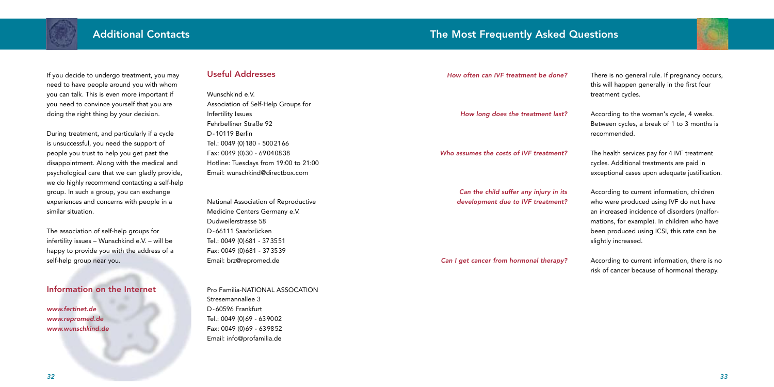

#### *How often can IVF treatment be done?*

*How long does the treatment last?*

*Who assumes the costs of IVF treatment?*

*Can the child suffer any injury in its development due to IVF treatment?*

*Can I get cancer from hormonal therapy?*



There is no general rule. If pregnancy occurs, this will happen generally in the first four treatment cycles.

According to the woman's cycle, 4 weeks. Between cycles, a break of 1 to 3 months is recommended.

The health services pay for 4 IVF treatment cycles. Additional treatments are paid in exceptional cases upon adequate justification.

According to current information, children who were produced using IVF do not have an increased incidence of disorders (malformations, for example). In children who have been produced using ICSI, this rate can be slightly increased.

According to current information, there is no risk of cancer because of hormonal therapy.

If you decide to undergo treatment, you may need to have people around you with whom you can talk. This is even more important if you need to convince yourself that you are doing the right thing by your decision.

During treatment, and particularly if a cycle is unsuccessful, you need the support of people you trust to help you get past the disappointment. Along with the medical and psychological care that we can gladly provide, we do highly recommend contacting a self-help group. In such a group, you can exchange experiences and concerns with people in a similar situation.

The association of self-help groups for infertility issues – Wunschkind e.V. – will be happy to provide you with the address of a self-help group near you.

### Information on the Internet

*www.fertinet.de www.repromed.de www.wunschkind.de*

### Useful Addresses

Wunschkind e.V. Association of Self-Help Groups for Infertility Issues Fehrbelliner Straße 92 D-10119 Berlin Tel.: 0049 (0)180 - 5002166 Fax: 0049 (0)30 - 69040838 Hotline: Tuesdays from 19:00 to 21:00 Email: wunschkind@directbox.com

National Association of Reproductive Medicine Centers Germany e.V. Dudweilerstrasse 58 D-66111 Saarbrücken Tel.: 0049 (0)681 - 373551 Fax: 0049 (0)681 - 373539 Email: brz@repromed.de

Pro Familia-NATIONAL ASSOCATION Stresemannallee 3 D-60596 Frankfurt Tel.: 0049 (0)69 - 639002 Fax: 0049 (0)69 - 639852 Email: info@profamilia.de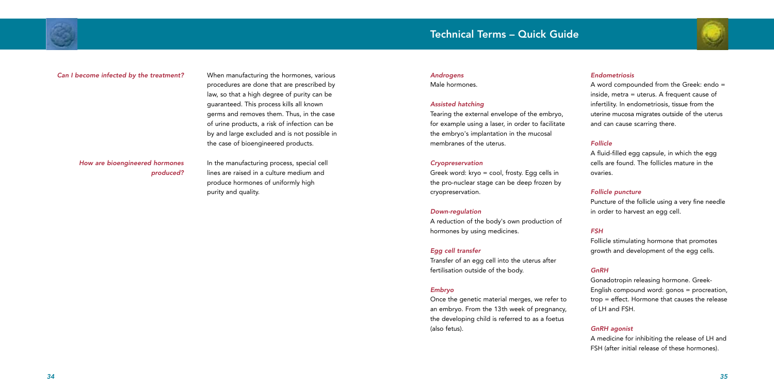## Technical Terms – Quick Guide



#### *Androgens*

Male hormones.

### *Assisted hatching*

Tearing the external envelope of the embryo, for example using a laser, in order to facilitate the embryo's implantation in the mucosal membranes of the uterus.

#### *Cryopreservation*

Greek word: kryo = cool, frosty. Egg cells in the pro-nuclear stage can be deep frozen by cryopreservation.

#### *Down-regulation*

A reduction of the body's own production of hormones by using medicines.

### *Egg cell transfer*

Transfer of an egg cell into the uterus after fertilisation outside of the body.

### *Embryo*

Once the genetic material merges, we refer to an embryo. From the 13th week of pregnancy, the developing child is referred to as a foetus (also fetus).



### *Endometriosis*

A word compounded from the Greek: endo = inside, metra = uterus. A frequent cause of infertility. In endometriosis, tissue from the uterine mucosa migrates outside of the uterus and can cause scarring there.

### *Follicle*

A fluid-filled egg capsule, in which the egg cells are found. The follicles mature in the ovaries.

### *Follicle puncture*

Puncture of the follicle using a very fine needle in order to harvest an egg cell.

### *FSH*

Follicle stimulating hormone that promotes growth and development of the egg cells.

### *GnRH*

Gonadotropin releasing hormone. Greek-English compound word: gonos = procreation, trop = effect. Hormone that causes the release of LH and FSH.

### *GnRH agonist*

A medicine for inhibiting the release of LH and FSH (after initial release of these hormones).

### *Can I become infected by the treatment?*

### *How are bioengineered hormones produced?*

When manufacturing the hormones, various procedures are done that are prescribed by law, so that a high degree of purity can be guaranteed. This process kills all known germs and removes them. Thus, in the case of urine products, a risk of infection can be by and large excluded and is not possible in the case of bioengineered products.

In the manufacturing process, special cell lines are raised in a culture medium and produce hormones of uniformly high purity and quality.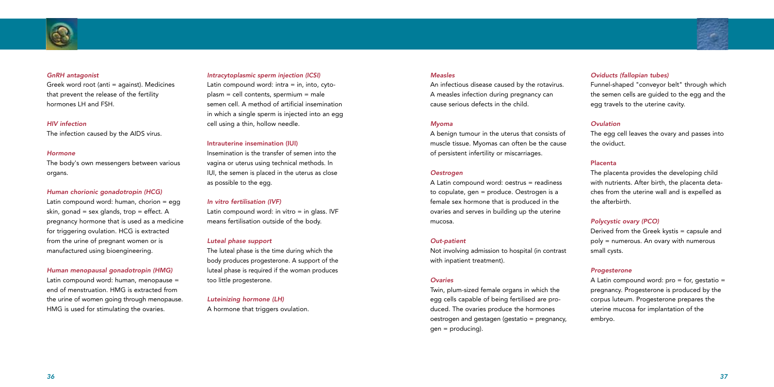#### *Measles*

An infectious disease caused by the rotavirus. A measles infection during pregnancy can cause serious defects in the child.

#### *Myoma*

A benign tumour in the uterus that consists of muscle tissue. Myomas can often be the cause of persistent infertility or miscarriages.

#### *Oestrogen*

A Latin compound word: oestrus = readiness to copulate, gen = produce. Oestrogen is a female sex hormone that is produced in the ovaries and serves in building up the uterine mucosa.

#### *Out-patient*

Not involving admission to hospital (in contrast with inpatient treatment).

#### *Ovaries*

Twin, plum-sized female organs in which the egg cells capable of being fertilised are produced. The ovaries produce the hormones oestrogen and gestagen (gestatio = pregnancy, gen = producing).

A Latin compound word:  $pro = for$ , gestatio = pregnancy. Progesterone is produced by the corpus luteum. Progesterone prepares the uterine mucosa for implantation of the embryo.

### *Oviducts (fallopian tubes)*

Funnel-shaped "conveyor belt" through which the semen cells are guided to the egg and the egg travels to the uterine cavity.

### *Ovulation*

The egg cell leaves the ovary and passes into the oviduct.

### Placenta

The placenta provides the developing child with nutrients. After birth, the placenta detaches from the uterine wall and is expelled as the afterbirth.

### *Polycystic ovary (PCO)*

Derived from the Greek kystis = capsule and poly = numerous. An ovary with numerous small cysts.

Latin compound word:  $\text{intra} = \text{in}$ ,  $\text{into}$ ,  $\text{cyto}$ plasm = cell contents, spermium = male semen cell. A method of artificial insemination in which a single sperm is injected into an egg cell using a thin, hollow needle.

#### *Progesterone*

Latin compound word: in vitro  $=$  in glass. IVF means fertilisation outside of the body.



#### *GnRH antagonist*

Greek word root (anti = against). Medicines that prevent the release of the fertility hormones LH and FSH.

#### *HIV infection*

The infection caused by the AIDS virus.

#### *Hormone*

The body's own messengers between various organs.

### *Human chorionic gonadotropin (HCG)*

Latin compound word: human, chorion = egg skin, gonad = sex glands, trop = effect. A pregnancy hormone that is used as a medicine for triggering ovulation. HCG is extracted from the urine of pregnant women or is manufactured using bioengineering.

### *Human menopausal gonadotropin (HMG)*

Latin compound word: human, menopause = end of menstruation. HMG is extracted from the urine of women going through menopause. HMG is used for stimulating the ovaries.

#### *Intracytoplasmic sperm injection (ICSI)*

### Intrauterine insemination (IUI)

Insemination is the transfer of semen into the vagina or uterus using technical methods. In IUI, the semen is placed in the uterus as close as possible to the egg.

### *In vitro fertilisation (IVF)*

### *Luteal phase support*

The luteal phase is the time during which the body produces progesterone. A support of the luteal phase is required if the woman produces too little progesterone.

*Luteinizing hormone (LH)* A hormone that triggers ovulation.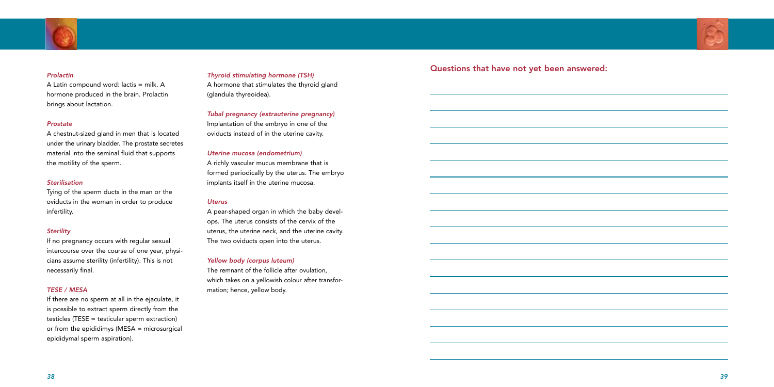

#### *Prolactin*

A Latin compound word: lactis = milk. A hormone produced in the brain. Prolactin brings about lactation.

#### *Prostate*

A chestnut-sized gland in men that is located under the urinary bladder. The prostate secretes material into the seminal fluid that supports the motility of the sperm.

### *Sterilisation*

Tying of the sperm ducts in the man or the oviducts in the woman in order to produce infertility.

### *Sterility*

If no pregnancy occurs with regular sexual intercourse over the course of one year, physicians assume sterility (infertility). This is not necessarily final.

### *TESE / MESA*

If there are no sperm at all in the ejaculate, it is possible to extract sperm directly from the testicles (TESE = testicular sperm extraction) or from the epididimys (MESA = microsurgical epididymal sperm aspiration).

# Questions that have not yet been answered: *Thyroid stimulating hormone (TSH)*



A hormone that stimulates the thyroid gland (glandula thyreoidea).

*Tubal pregnancy (extrauterine pregnancy)* Implantation of the embryo in one of the oviducts instead of in the uterine cavity.

### *Uterine mucosa (endometrium)*

A richly vascular mucus membrane that is formed periodically by the uterus. The embryo implants itself in the uterine mucosa.

#### *Uterus*

A pear-shaped organ in which the baby develops. The uterus consists of the cervix of the uterus, the uterine neck, and the uterine cavity. The two oviducts open into the uterus.

### *Yellow body (corpus luteum)*

The remnant of the follicle after ovulation, which takes on a yellowish colour after transformation; hence, yellow body.